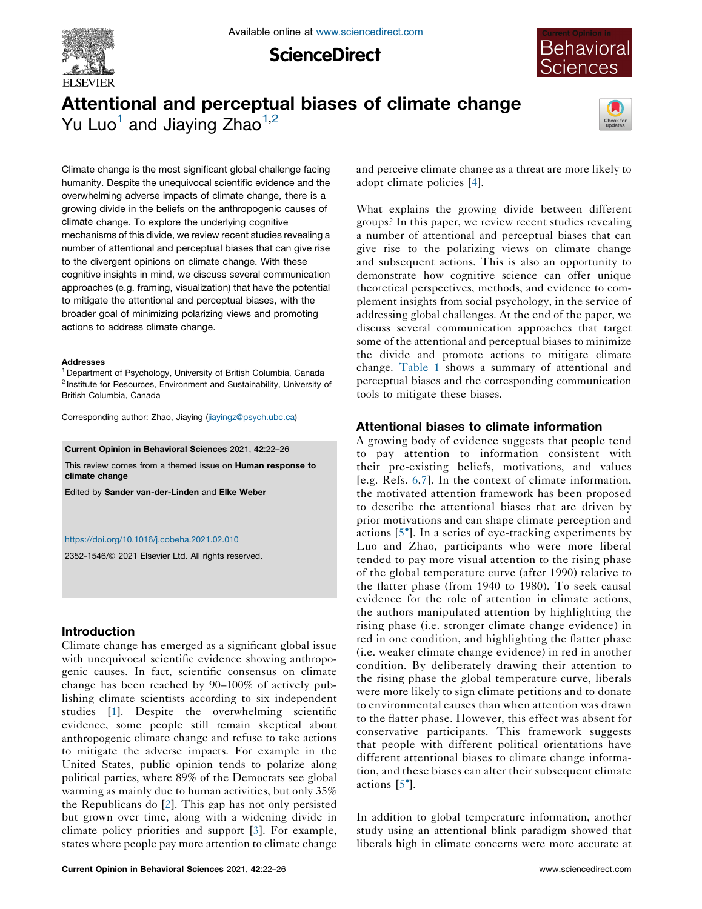

**ScienceDirect** 



# Attentional and perceptual biases of climate change Yu Luo<sup>1</sup> and Jiaying Zhao<sup>1,2</sup>



Climate change is the most significant global challenge facing humanity. Despite the unequivocal scientific evidence and the overwhelming adverse impacts of climate change, there is a growing divide in the beliefs on the anthropogenic causes of climate change. To explore the underlying cognitive mechanisms of this divide, we review recent studies revealing a number of attentional and perceptual biases that can give rise to the divergent opinions on climate change. With these cognitive insights in mind, we discuss several communication approaches (e.g. framing, visualization) that have the potential to mitigate the attentional and perceptual biases, with the broader goal of minimizing polarizing views and promoting actions to address climate change.

#### Addresses

<sup>1</sup> Department of Psychology, University of British Columbia, Canada <sup>2</sup> Institute for Resources, Environment and Sustainability, University of British Columbia, Canada

Corresponding author: Zhao, Jiaying ([jiayingz@psych.ubc.ca](mailto:jiayingz@psych.ubc.ca))

Current Opinion in Behavioral Sciences 2021, 42:22–26

This review comes from a themed issue on Human response to climate change

Edited by Sander van-der-Linden and Elke Weber

#### <https://doi.org/10.1016/j.cobeha.2021.02.010>

2352-1546/ã 2021 Elsevier Ltd. All rights reserved.

# Introduction

Climate change has emerged as a significant global issue with unequivocal scientific evidence showing anthropogenic causes. In fact, scientific consensus on climate change has been reached by 90–100% of actively publishing climate scientists according to six independent studies [\[1](#page-3-0)]. Despite the overwhelming scientific evidence, some people still remain skeptical about anthropogenic climate change and refuse to take actions to mitigate the adverse impacts. For example in the United States, public opinion tends to polarize along political parties, where 89% of the Democrats see global warming as mainly due to human activities, but only 35% the Republicans do [\[2](#page-3-0)]. This gap has not only persisted but grown over time, along with a widening divide in climate policy priorities and support [\[3\]](#page-3-0). For example, states where people pay more attention to climate change

and perceive climate change as a threat are more likely to adopt climate policies [[4\]](#page-3-0).

What explains the growing divide between different groups? In this paper, we review recent studies revealing a number of attentional and perceptual biases that can give rise to the polarizing views on climate change and subsequent actions. This is also an opportunity to demonstrate how cognitive science can offer unique theoretical perspectives, methods, and evidence to complement insights from social psychology, in the service of addressing global challenges. At the end of the paper, we discuss several communication approaches that target some of the attentional and perceptual biases to minimize the divide and promote actions to mitigate climate change. [Table](#page-1-0) 1 shows a summary of attentional and perceptual biases and the corresponding communication tools to mitigate these biases.

# Attentional biases to climate information

A growing body of evidence suggests that people tend to pay attention to information consistent with their pre-existing beliefs, motivations, and values [e.g. Refs. [6,7\]](#page-3-0). In the context of climate information, the motivated attention framework has been proposed to describe the attentional biases that are driven by prior motivations and can shape climate perception and actions [5 ]. In a series of [eye-tracking](#page-3-0) experiments by Luo and Zhao, participants who were more liberal tended to pay more visual attention to the rising phase of the global temperature curve (after 1990) relative to the flatter phase (from 1940 to 1980). To seek causal evidence for the role of attention in climate actions, the authors manipulated attention by highlighting the rising phase (i.e. stronger climate change evidence) in red in one condition, and highlighting the flatter phase (i.e. weaker climate change evidence) in red in another condition. By deliberately drawing their attention to the rising phase the global temperature curve, liberals were more likely to sign climate petitions and to donate to environmental causes than when attention was drawn to the flatter phase. However, this effect was absent for conservative participants. This framework suggests that people with different political orientations have different attentional biases to climate change information, and these biases can alter their subsequent climate actions [[5](#page-3-0) ].

In addition to global temperature information, another study using an attentional blink paradigm showed that liberals high in climate concerns were more accurate at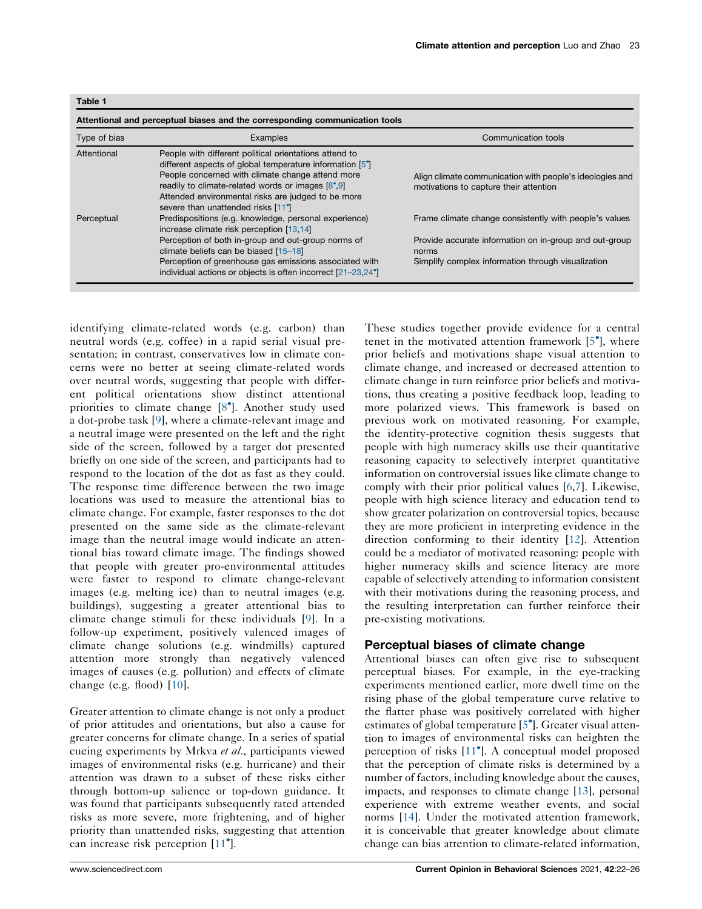<span id="page-1-0"></span>

| Type of bias | Examples                                                                                                                                                                                                                                                                                                                             | Communication tools                                                                                |
|--------------|--------------------------------------------------------------------------------------------------------------------------------------------------------------------------------------------------------------------------------------------------------------------------------------------------------------------------------------|----------------------------------------------------------------------------------------------------|
| Attentional  | People with different political orientations attend to<br>different aspects of global temperature information [5 <sup>°</sup> ]<br>People concerned with climate change attend more<br>readily to climate-related words or images [8°,9]<br>Attended environmental risks are judged to be more<br>severe than unattended risks [11°] | Align climate communication with people's ideologies and<br>motivations to capture their attention |
| Perceptual   | Predispositions (e.g. knowledge, personal experience)<br>increase climate risk perception [13,14]                                                                                                                                                                                                                                    | Frame climate change consistently with people's values                                             |
|              | Perception of both in-group and out-group norms of<br>climate beliefs can be biased [15-18]                                                                                                                                                                                                                                          | Provide accurate information on in-group and out-group<br>norms                                    |
|              | Perception of greenhouse gas emissions associated with<br>individual actions or objects is often incorrect [21-23,24°]                                                                                                                                                                                                               | Simplify complex information through visualization                                                 |

identifying climate-related words (e.g. carbon) than neutral words (e.g. coffee) in a rapid serial visual presentation; in contrast, conservatives low in climate concerns were no better at seeing climate-related words over neutral words, suggesting that people with different political orientations show distinct attentional priorities to climate change [\[8](#page-3-0) ]. Another study used a dot-probe task [[9\]](#page-3-0), where a climate-relevant image and a neutral image were presented on the left and the right side of the screen, followed by a target dot presented briefly on one side of the screen, and participants had to respond to the location of the dot as fast as they could. The response time difference between the two image locations was used to measure the attentional bias to climate change. For example, faster responses to the dot presented on the same side as the climate-relevant image than the neutral image would indicate an attentional bias toward climate image. The findings showed that people with greater pro-environmental attitudes were faster to respond to climate change-relevant images (e.g. melting ice) than to neutral images (e.g. buildings), suggesting a greater attentional bias to climate change stimuli for these individuals [[9\]](#page-3-0). In a follow-up experiment, positively valenced images of climate change solutions (e.g. windmills) captured attention more strongly than negatively valenced images of causes (e.g. pollution) and effects of climate change (e.g. flood)  $[10]$  $[10]$ .

Greater attention to climate change is not only a product of prior attitudes and orientations, but also a cause for greater concerns for climate change. In a series of spatial cueing experiments by Mrkva et al., participants viewed images of environmental risks (e.g. hurricane) and their attention was drawn to a subset of these risks either through bottom-up salience or top-down guidance. It was found that participants subsequently rated attended risks as more severe, more frightening, and of higher priority than unattended risks, suggesting that attention can increase risk perception [\[11](#page-4-0) ].

These studies together provide evidence for a central tenet in the motivated attention framework [[5](#page-3-0) ], where prior beliefs and motivations shape visual attention to climate change, and increased or decreased attention to climate change in turn reinforce prior beliefs and motivations, thus creating a positive feedback loop, leading to more polarized views. This framework is based on previous work on motivated reasoning. For example, the identity-protective cognition thesis suggests that people with high numeracy skills use their quantitative reasoning capacity to selectively interpret quantitative information on controversial issues like climate change to comply with their prior political values [[6,7](#page-3-0)]. Likewise, people with high science literacy and education tend to show greater polarization on controversial topics, because they are more proficient in interpreting evidence in the direction conforming to their identity [[12\]](#page-4-0). Attention could be a mediator of motivated reasoning: people with higher numeracy skills and science literacy are more capable of selectively attending to information consistent with their motivations during the reasoning process, and the resulting interpretation can further reinforce their pre-existing motivations.

#### Perceptual biases of climate change

Attentional biases can often give rise to subsequent perceptual biases. For example, in the eye-tracking experiments mentioned earlier, more dwell time on the rising phase of the global temperature curve relative to the flatter phase was positively correlated with higher estimates of global temperature [\[5](#page-3-0) ]. Greater visual attention to images of environmental risks can heighten the perception of risks [\[11](#page-4-0) ]. A conceptual model proposed that the perception of climate risks is determined by a number of factors, including knowledge about the causes, impacts, and responses to climate change [[13\]](#page-4-0), personal experience with extreme weather events, and social norms [[14\]](#page-4-0). Under the motivated attention framework, it is conceivable that greater knowledge about climate change can bias attention to climate-related information,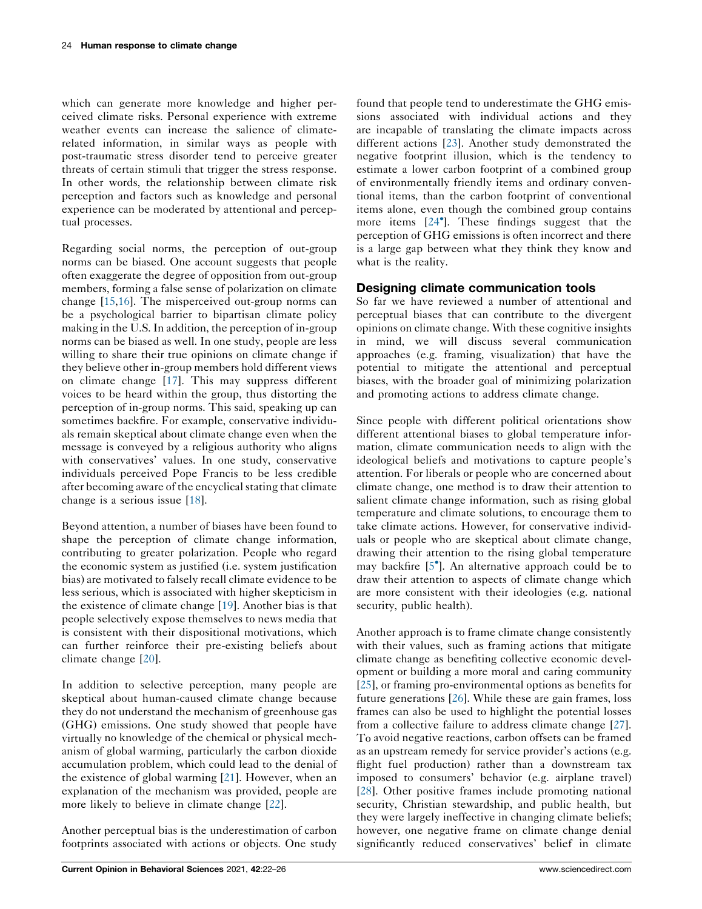which can generate more knowledge and higher perceived climate risks. Personal experience with extreme weather events can increase the salience of climaterelated information, in similar ways as people with post-traumatic stress disorder tend to perceive greater threats of certain stimuli that trigger the stress response. In other words, the relationship between climate risk perception and factors such as knowledge and personal experience can be moderated by attentional and perceptual processes.

Regarding social norms, the perception of out-group norms can be biased. One account suggests that people often exaggerate the degree of opposition from out-group members, forming a false sense of polarization on climate change [[15,16](#page-4-0)]. The misperceived out-group norms can be a psychological barrier to bipartisan climate policy making in the U.S. In addition, the perception of in-group norms can be biased as well. In one study, people are less willing to share their true opinions on climate change if they believe other in-group members hold different views on climate change [\[17](#page-4-0)]. This may suppress different voices to be heard within the group, thus distorting the perception of in-group norms. This said, speaking up can sometimes backfire. For example, conservative individuals remain skeptical about climate change even when the message is conveyed by a religious authority who aligns with conservatives' values. In one study, conservative individuals perceived Pope Francis to be less credible after becoming aware of the encyclical stating that climate change is a serious issue [\[18](#page-4-0)].

Beyond attention, a number of biases have been found to shape the perception of climate change information, contributing to greater polarization. People who regard the economic system as justified (i.e. system justification bias) are motivated to falsely recall climate evidence to be less serious, which is associated with higher skepticism in the existence of climate change [[19\]](#page-4-0). Another bias is that people selectively expose themselves to news media that is consistent with their dispositional motivations, which can further reinforce their pre-existing beliefs about climate change [[20\]](#page-4-0).

In addition to selective perception, many people are skeptical about human-caused climate change because they do not understand the mechanism of greenhouse gas (GHG) emissions. One study showed that people have virtually no knowledge of the chemical or physical mechanism of global warming, particularly the carbon dioxide accumulation problem, which could lead to the denial of the existence of global warming [\[21](#page-4-0)]. However, when an explanation of the mechanism was provided, people are more likely to believe in climate change [[22\]](#page-4-0).

Another perceptual bias is the underestimation of carbon footprints associated with actions or objects. One study found that people tend to underestimate the GHG emissions associated with individual actions and they are incapable of translating the climate impacts across different actions [\[23](#page-4-0)]. Another study demonstrated the negative footprint illusion, which is the tendency to estimate a lower carbon footprint of a combined group of environmentally friendly items and ordinary conventional items, than the carbon footprint of conventional items alone, even though the combined group contains more items [[24](#page-4-0) ]. These findings suggest that the perception of GHG emissions is often incorrect and there is a large gap between what they think they know and what is the reality.

## Designing climate communication tools

So far we have reviewed a number of attentional and perceptual biases that can contribute to the divergent opinions on climate change. With these cognitive insights in mind, we will discuss several communication approaches (e.g. framing, visualization) that have the potential to mitigate the attentional and perceptual biases, with the broader goal of minimizing polarization and promoting actions to address climate change.

Since people with different political orientations show different attentional biases to global temperature information, climate communication needs to align with the ideological beliefs and motivations to capture people's attention. For liberals or people who are concerned about climate change, one method is to draw their attention to salient climate change information, such as rising global temperature and climate solutions, to encourage them to take climate actions. However, for conservative individuals or people who are skeptical about climate change, drawing their attention to the rising global temperature may backfire [\[5](#page-3-0) ]. An alternative approach could be to draw their attention to aspects of climate change which are more consistent with their ideologies (e.g. national security, public health).

Another approach is to frame climate change consistently with their values, such as framing actions that mitigate climate change as benefiting collective economic development or building a more moral and caring community [\[25](#page-4-0)], or framing pro-environmental options as benefits for future generations [[26\]](#page-4-0). While these are gain frames, loss frames can also be used to highlight the potential losses from a collective failure to address climate change [[27](#page-4-0)]. To avoid negative reactions, carbon offsets can be framed as an upstream remedy for service provider's actions (e.g. flight fuel production) rather than a downstream tax imposed to consumers' behavior (e.g. airplane travel) [\[28](#page-4-0)]. Other positive frames include promoting national security, Christian stewardship, and public health, but they were largely ineffective in changing climate beliefs; however, one negative frame on climate change denial significantly reduced conservatives' belief in climate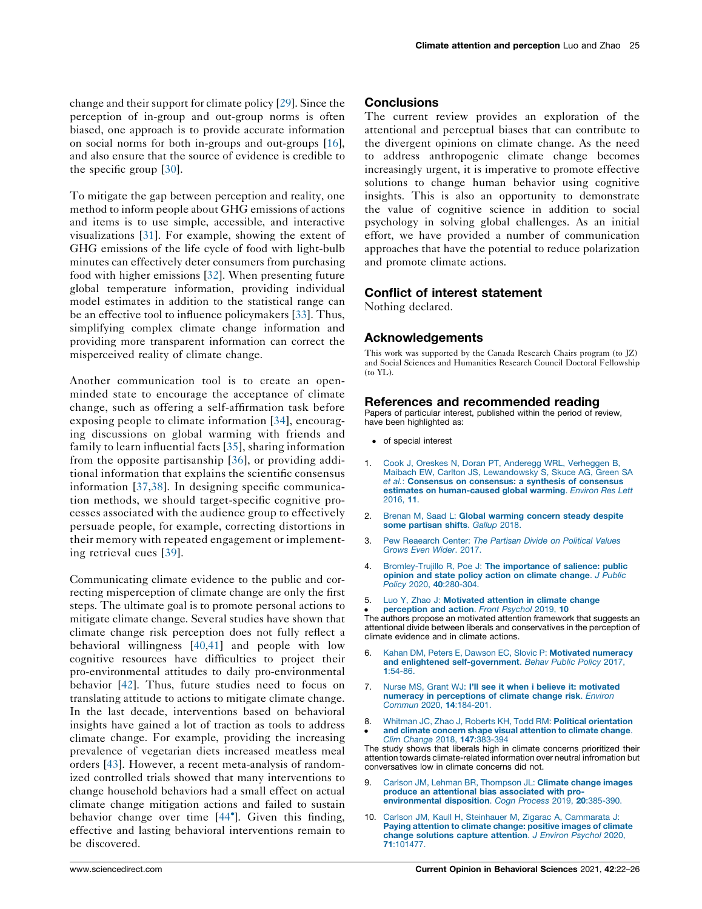<span id="page-3-0"></span>change and their support for climate policy [\[29](#page-4-0)]. Since the perception of in-group and out-group norms is often biased, one approach is to provide accurate information on social norms for both in-groups and out-groups [\[16](#page-4-0)], and also ensure that the source of evidence is credible to the specific group [[30\]](#page-4-0).

To mitigate the gap between perception and reality, one method to inform people about GHG emissions of actions and items is to use simple, accessible, and interactive visualizations [[31\]](#page-4-0). For example, showing the extent of GHG emissions of the life cycle of food with light-bulb minutes can effectively deter consumers from purchasing food with higher emissions [[32\]](#page-4-0). When presenting future global temperature information, providing individual model estimates in addition to the statistical range can be an effective tool to influence policymakers [[33\]](#page-4-0). Thus, simplifying complex climate change information and providing more transparent information can correct the misperceived reality of climate change.

Another communication tool is to create an openminded state to encourage the acceptance of climate change, such as offering a self-affirmation task before exposing people to climate information [[34](#page-4-0)], encouraging discussions on global warming with friends and family to learn influential facts [[35](#page-4-0)], sharing information from the opposite partisanship [\[36\]](#page-4-0), or providing additional information that explains the scientific consensus information [[37](#page-4-0),[38](#page-4-0)]. In designing specific communication methods, we should target-specific cognitive processes associated with the audience group to effectively persuade people, for example, correcting distortions in their memory with repeated engagement or implementing retrieval cues [[39](#page-4-0)].

Communicating climate evidence to the public and correcting misperception of climate change are only the first steps. The ultimate goal is to promote personal actions to mitigate climate change. Several studies have shown that climate change risk perception does not fully reflect a behavioral willingness [\[40](#page-4-0),[41\]](#page-4-0) and people with low cognitive resources have difficulties to project their pro-environmental attitudes to daily pro-environmental behavior [\[42](#page-4-0)]. Thus, future studies need to focus on translating attitude to actions to mitigate climate change. In the last decade, interventions based on behavioral insights have gained a lot of traction as tools to address climate change. For example, providing the increasing prevalence of vegetarian diets increased meatless meal orders [\[43](#page-4-0)]. However, a recent meta-analysis of randomized controlled trials showed that many interventions to change household behaviors had a small effect on actual climate change mitigation actions and failed to sustain behavior change over time [\[44](#page-4-0) ]. Given this finding, effective and lasting behavioral interventions remain to be discovered.

### **Conclusions**

The current review provides an exploration of the attentional and perceptual biases that can contribute to the divergent opinions on climate change. As the need to address anthropogenic climate change becomes increasingly urgent, it is imperative to promote effective solutions to change human behavior using cognitive insights. This is also an opportunity to demonstrate the value of cognitive science in addition to social psychology in solving global challenges. As an initial effort, we have provided a number of communication approaches that have the potential to reduce polarization and promote climate actions.

## Conflict of interest statement

Nothing declared.

## Acknowledgements

This work was supported by the Canada Research Chairs program (to JZ) and Social Sciences and Humanities Research Council Doctoral Fellowship (to YL).

#### References and recommended reading

Papers of particular interest, published within the period of review, have been highlighted as:

- of special interest
- 1. Cook J, Oreskes N, Doran PT, Anderegg WRL, [Verheggen](http://refhub.elsevier.com/S2352-1546(21)00032-2/sbref0005) B, Maibach EW, Carlton JS, [Lewandowsky](http://refhub.elsevier.com/S2352-1546(21)00032-2/sbref0005) S, Skuce AG, Green SA et al.: Consensus on [consensus:](http://refhub.elsevier.com/S2352-1546(21)00032-2/sbref0005) a synthesis of consensus estimates on [human-caused](http://refhub.elsevier.com/S2352-1546(21)00032-2/sbref0005) global warming. Environ Res Lett [2016,](http://refhub.elsevier.com/S2352-1546(21)00032-2/sbref0005) 11.
- 2. Brenan M, Saad L: Global [warming](http://refhub.elsevier.com/S2352-1546(21)00032-2/sbref0010) concern steady despite some [partisan](http://refhub.elsevier.com/S2352-1546(21)00032-2/sbref0010) shifts. Gallup 2018.
- 3. Pew [Reaearch](http://refhub.elsevier.com/S2352-1546(21)00032-2/sbref0015) Center: The Partisan Divide on Political Values [Grows](http://refhub.elsevier.com/S2352-1546(21)00032-2/sbref0015) Even Wider. 2017.
- 4. [Bromley-Trujillo](http://refhub.elsevier.com/S2352-1546(21)00032-2/sbref0020) R, Poe J: The importance of salience: public opinion and state policy action on climate [change](http://refhub.elsevier.com/S2352-1546(21)00032-2/sbref0020). J Public Policy 2020, 40[:280-304.](http://refhub.elsevier.com/S2352-1546(21)00032-2/sbref0020)
- 5. Luo Y, Zhao J: [Motivated](http://refhub.elsevier.com/S2352-1546(21)00032-2/sbref0025) attention in climate change
- [perception](http://refhub.elsevier.com/S2352-1546(21)00032-2/sbref0025) and action. Front Psychol 2019, 10

• Perception and action. Front Psychol 2019, 10<br>The authors propose an motivated attention framework that suggests an attentional divide between liberals and conservatives in the perception of climate evidence and in climate actions.

- 6. Kahan DM, Peters E, Dawson EC, Slovic P: [Motivated](http://refhub.elsevier.com/S2352-1546(21)00032-2/sbref0030) numeracy and enlightened [self-government](http://refhub.elsevier.com/S2352-1546(21)00032-2/sbref0030). Behav Public Policy 2017, 1[:54-86.](http://refhub.elsevier.com/S2352-1546(21)00032-2/sbref0030)
- 7. Nurse MS, Grant WJ: I'll see it when i believe it: [motivated](http://refhub.elsevier.com/S2352-1546(21)00032-2/sbref0035) numeracy in [perceptions](http://refhub.elsevier.com/S2352-1546(21)00032-2/sbref0035) of climate change risk. Environ Commun 2020, 14[:184-201.](http://refhub.elsevier.com/S2352-1546(21)00032-2/sbref0035)
- 8.  $\bullet$ Whitman JC, Zhao J, Roberts KH, Todd RM: Political [orientation](http://refhub.elsevier.com/S2352-1546(21)00032-2/sbref0040) and climate concern shape visual [attention](http://refhub.elsevier.com/S2352-1546(21)00032-2/sbref0040) to climate change. Clim Change 2018, 147[:383-394](http://refhub.elsevier.com/S2352-1546(21)00032-2/sbref0040)

The study shows that liberals high in climate concerns prioritized their attention towards climate-related information over neutral infromation but conversatives low in climate concerns did not.

- 9. Carlson JM, Lehman BR, [Thompson](http://refhub.elsevier.com/S2352-1546(21)00032-2/sbref0045) JL: Climate change images produce an attentional bias [associated](http://refhub.elsevier.com/S2352-1546(21)00032-2/sbref0045) with pro[environmental](http://refhub.elsevier.com/S2352-1546(21)00032-2/sbref0045) disposition. Cogn Process 2019, 20:385-390.
- 10. Carlson JM, Kaull H, Steinhauer M, Zigarac A, [Cammarata](http://refhub.elsevier.com/S2352-1546(21)00032-2/sbref0050) J: Paying [attention](http://refhub.elsevier.com/S2352-1546(21)00032-2/sbref0050) to climate change: positive images of climate change [solutions](http://refhub.elsevier.com/S2352-1546(21)00032-2/sbref0050) capture attention. J Environ Psychol 2020, 71[:101477.](http://refhub.elsevier.com/S2352-1546(21)00032-2/sbref0050)